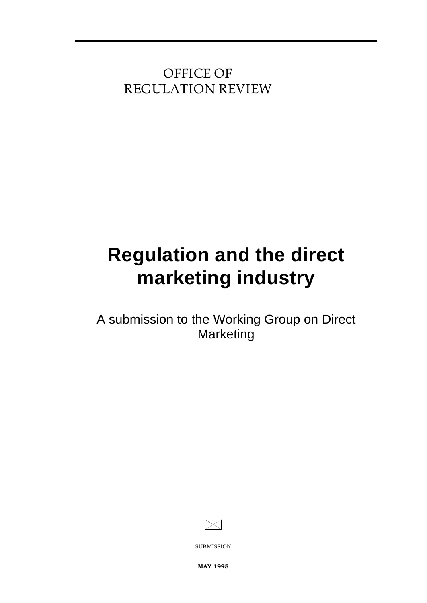**OFFICE OF REGULATION REVIEW**

# **Regulation and the direct marketing industry**

A submission to the Working Group on Direct Marketing



SUBMISSION

MAY 1995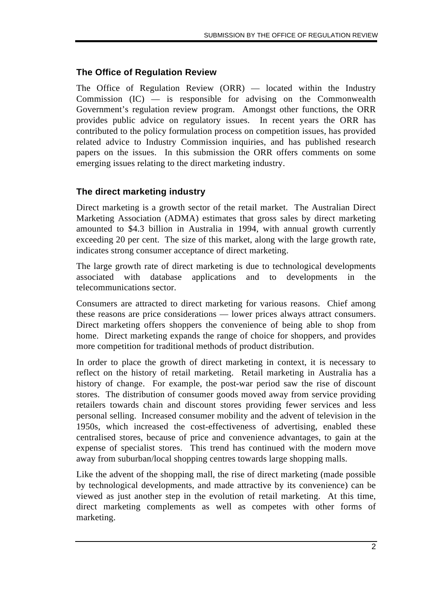# **The Office of Regulation Review**

The Office of Regulation Review (ORR) — located within the Industry Commission (IC) — is responsible for advising on the Commonwealth Government's regulation review program. Amongst other functions, the ORR provides public advice on regulatory issues. In recent years the ORR has contributed to the policy formulation process on competition issues, has provided related advice to Industry Commission inquiries, and has published research papers on the issues. In this submission the ORR offers comments on some emerging issues relating to the direct marketing industry.

## **The direct marketing industry**

Direct marketing is a growth sector of the retail market. The Australian Direct Marketing Association (ADMA) estimates that gross sales by direct marketing amounted to \$4.3 billion in Australia in 1994, with annual growth currently exceeding 20 per cent. The size of this market, along with the large growth rate, indicates strong consumer acceptance of direct marketing.

The large growth rate of direct marketing is due to technological developments associated with database applications and to developments in the telecommunications sector.

Consumers are attracted to direct marketing for various reasons. Chief among these reasons are price considerations — lower prices always attract consumers. Direct marketing offers shoppers the convenience of being able to shop from home. Direct marketing expands the range of choice for shoppers, and provides more competition for traditional methods of product distribution.

In order to place the growth of direct marketing in context, it is necessary to reflect on the history of retail marketing. Retail marketing in Australia has a history of change. For example, the post-war period saw the rise of discount stores. The distribution of consumer goods moved away from service providing retailers towards chain and discount stores providing fewer services and less personal selling. Increased consumer mobility and the advent of television in the 1950s, which increased the cost-effectiveness of advertising, enabled these centralised stores, because of price and convenience advantages, to gain at the expense of specialist stores. This trend has continued with the modern move away from suburban/local shopping centres towards large shopping malls.

Like the advent of the shopping mall, the rise of direct marketing (made possible by technological developments, and made attractive by its convenience) can be viewed as just another step in the evolution of retail marketing. At this time, direct marketing complements as well as competes with other forms of marketing.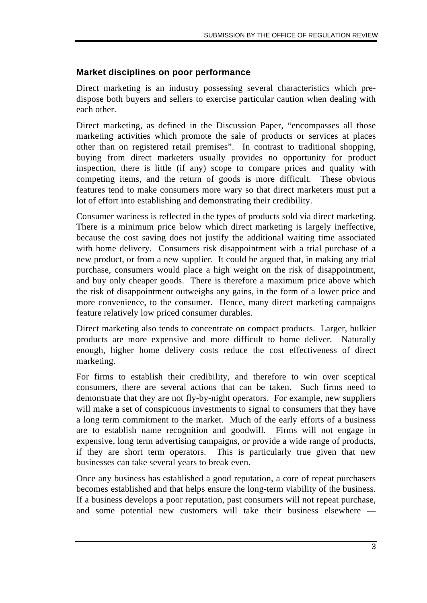## **Market disciplines on poor performance**

Direct marketing is an industry possessing several characteristics which predispose both buyers and sellers to exercise particular caution when dealing with each other.

Direct marketing, as defined in the Discussion Paper, "encompasses all those marketing activities which promote the sale of products or services at places other than on registered retail premises". In contrast to traditional shopping, buying from direct marketers usually provides no opportunity for product inspection, there is little (if any) scope to compare prices and quality with competing items, and the return of goods is more difficult. These obvious features tend to make consumers more wary so that direct marketers must put a lot of effort into establishing and demonstrating their credibility.

Consumer wariness is reflected in the types of products sold via direct marketing. There is a minimum price below which direct marketing is largely ineffective, because the cost saving does not justify the additional waiting time associated with home delivery. Consumers risk disappointment with a trial purchase of a new product, or from a new supplier. It could be argued that, in making any trial purchase, consumers would place a high weight on the risk of disappointment, and buy only cheaper goods. There is therefore a maximum price above which the risk of disappointment outweighs any gains, in the form of a lower price and more convenience, to the consumer. Hence, many direct marketing campaigns feature relatively low priced consumer durables.

Direct marketing also tends to concentrate on compact products. Larger, bulkier products are more expensive and more difficult to home deliver. Naturally enough, higher home delivery costs reduce the cost effectiveness of direct marketing.

For firms to establish their credibility, and therefore to win over sceptical consumers, there are several actions that can be taken. Such firms need to demonstrate that they are not fly-by-night operators. For example, new suppliers will make a set of conspicuous investments to signal to consumers that they have a long term commitment to the market. Much of the early efforts of a business are to establish name recognition and goodwill. Firms will not engage in expensive, long term advertising campaigns, or provide a wide range of products, if they are short term operators. This is particularly true given that new businesses can take several years to break even.

Once any business has established a good reputation, a core of repeat purchasers becomes established and that helps ensure the long-term viability of the business. If a business develops a poor reputation, past consumers will not repeat purchase, and some potential new customers will take their business elsewhere —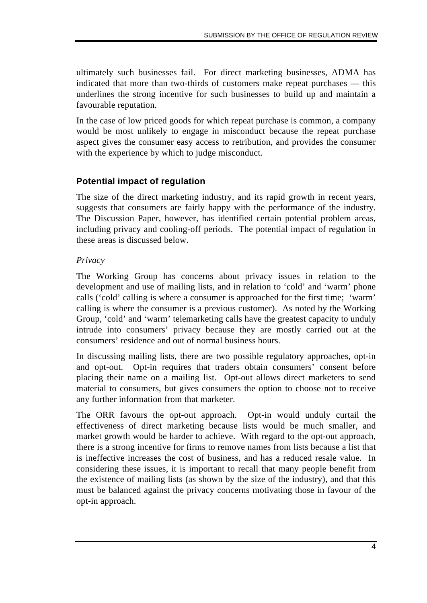ultimately such businesses fail. For direct marketing businesses, ADMA has indicated that more than two-thirds of customers make repeat purchases — this underlines the strong incentive for such businesses to build up and maintain a favourable reputation.

In the case of low priced goods for which repeat purchase is common, a company would be most unlikely to engage in misconduct because the repeat purchase aspect gives the consumer easy access to retribution, and provides the consumer with the experience by which to judge misconduct.

## **Potential impact of regulation**

The size of the direct marketing industry, and its rapid growth in recent years, suggests that consumers are fairly happy with the performance of the industry. The Discussion Paper, however, has identified certain potential problem areas, including privacy and cooling-off periods. The potential impact of regulation in these areas is discussed below.

#### *Privacy*

The Working Group has concerns about privacy issues in relation to the development and use of mailing lists, and in relation to 'cold' and 'warm' phone calls ('cold' calling is where a consumer is approached for the first time; 'warm' calling is where the consumer is a previous customer). As noted by the Working Group, 'cold' and 'warm' telemarketing calls have the greatest capacity to unduly intrude into consumers' privacy because they are mostly carried out at the consumers' residence and out of normal business hours.

In discussing mailing lists, there are two possible regulatory approaches, opt-in and opt-out. Opt-in requires that traders obtain consumers' consent before placing their name on a mailing list. Opt-out allows direct marketers to send material to consumers, but gives consumers the option to choose not to receive any further information from that marketer.

The ORR favours the opt-out approach. Opt-in would unduly curtail the effectiveness of direct marketing because lists would be much smaller, and market growth would be harder to achieve. With regard to the opt-out approach, there is a strong incentive for firms to remove names from lists because a list that is ineffective increases the cost of business, and has a reduced resale value. In considering these issues, it is important to recall that many people benefit from the existence of mailing lists (as shown by the size of the industry), and that this must be balanced against the privacy concerns motivating those in favour of the opt-in approach.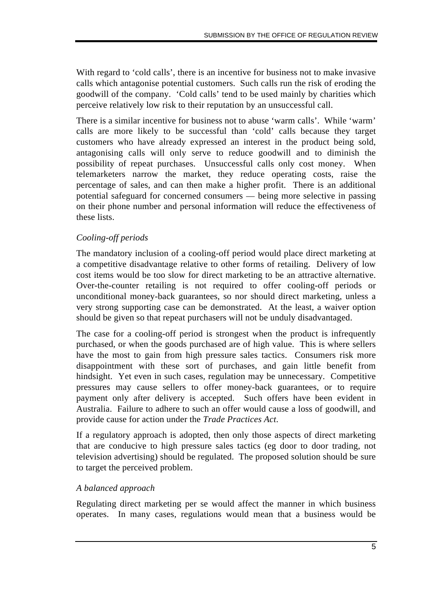With regard to 'cold calls', there is an incentive for business not to make invasive calls which antagonise potential customers. Such calls run the risk of eroding the goodwill of the company. 'Cold calls' tend to be used mainly by charities which perceive relatively low risk to their reputation by an unsuccessful call.

There is a similar incentive for business not to abuse 'warm calls'. While 'warm' calls are more likely to be successful than 'cold' calls because they target customers who have already expressed an interest in the product being sold, antagonising calls will only serve to reduce goodwill and to diminish the possibility of repeat purchases. Unsuccessful calls only cost money. When telemarketers narrow the market, they reduce operating costs, raise the percentage of sales, and can then make a higher profit. There is an additional potential safeguard for concerned consumers — being more selective in passing on their phone number and personal information will reduce the effectiveness of these lists.

#### *Cooling-off periods*

The mandatory inclusion of a cooling-off period would place direct marketing at a competitive disadvantage relative to other forms of retailing. Delivery of low cost items would be too slow for direct marketing to be an attractive alternative. Over-the-counter retailing is not required to offer cooling-off periods or unconditional money-back guarantees, so nor should direct marketing, unless a very strong supporting case can be demonstrated. At the least, a waiver option should be given so that repeat purchasers will not be unduly disadvantaged.

The case for a cooling-off period is strongest when the product is infrequently purchased, or when the goods purchased are of high value. This is where sellers have the most to gain from high pressure sales tactics. Consumers risk more disappointment with these sort of purchases, and gain little benefit from hindsight. Yet even in such cases, regulation may be unnecessary. Competitive pressures may cause sellers to offer money-back guarantees, or to require payment only after delivery is accepted. Such offers have been evident in Australia. Failure to adhere to such an offer would cause a loss of goodwill, and provide cause for action under the *Trade Practices Act*.

If a regulatory approach is adopted, then only those aspects of direct marketing that are conducive to high pressure sales tactics (eg door to door trading, not television advertising) should be regulated. The proposed solution should be sure to target the perceived problem.

#### *A balanced approach*

Regulating direct marketing per se would affect the manner in which business operates. In many cases, regulations would mean that a business would be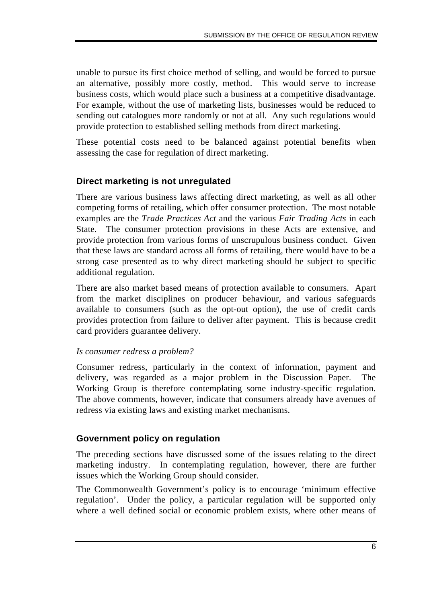unable to pursue its first choice method of selling, and would be forced to pursue an alternative, possibly more costly, method. This would serve to increase business costs, which would place such a business at a competitive disadvantage. For example, without the use of marketing lists, businesses would be reduced to sending out catalogues more randomly or not at all. Any such regulations would provide protection to established selling methods from direct marketing.

These potential costs need to be balanced against potential benefits when assessing the case for regulation of direct marketing.

# **Direct marketing is not unregulated**

There are various business laws affecting direct marketing, as well as all other competing forms of retailing, which offer consumer protection. The most notable examples are the *Trade Practices Act* and the various *Fair Trading Acts* in each State. The consumer protection provisions in these Acts are extensive, and provide protection from various forms of unscrupulous business conduct. Given that these laws are standard across all forms of retailing, there would have to be a strong case presented as to why direct marketing should be subject to specific additional regulation.

There are also market based means of protection available to consumers. Apart from the market disciplines on producer behaviour, and various safeguards available to consumers (such as the opt-out option), the use of credit cards provides protection from failure to deliver after payment. This is because credit card providers guarantee delivery.

#### *Is consumer redress a problem?*

Consumer redress, particularly in the context of information, payment and delivery, was regarded as a major problem in the Discussion Paper. The Working Group is therefore contemplating some industry-specific regulation. The above comments, however, indicate that consumers already have avenues of redress via existing laws and existing market mechanisms.

## **Government policy on regulation**

The preceding sections have discussed some of the issues relating to the direct marketing industry. In contemplating regulation, however, there are further issues which the Working Group should consider.

The Commonwealth Government's policy is to encourage 'minimum effective regulation'. Under the policy, a particular regulation will be supported only where a well defined social or economic problem exists, where other means of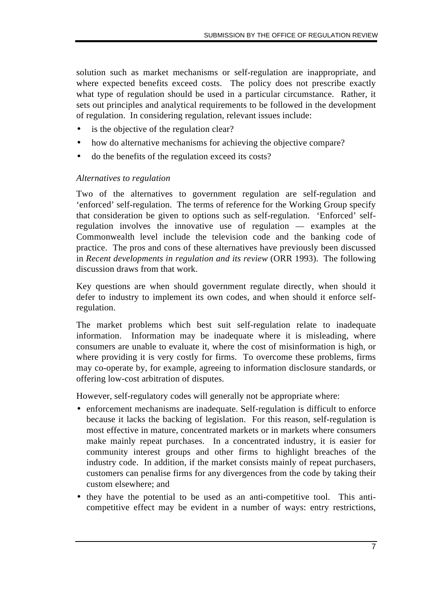solution such as market mechanisms or self-regulation are inappropriate, and where expected benefits exceed costs. The policy does not prescribe exactly what type of regulation should be used in a particular circumstance. Rather, it sets out principles and analytical requirements to be followed in the development of regulation. In considering regulation, relevant issues include:

- is the objective of the regulation clear?
- how do alternative mechanisms for achieving the objective compare?
- do the benefits of the regulation exceed its costs?

#### *Alternatives to regulation*

Two of the alternatives to government regulation are self-regulation and 'enforced' self-regulation. The terms of reference for the Working Group specify that consideration be given to options such as self-regulation. 'Enforced' selfregulation involves the innovative use of regulation — examples at the Commonwealth level include the television code and the banking code of practice. The pros and cons of these alternatives have previously been discussed in *Recent developments in regulation and its review* (ORR 1993). The following discussion draws from that work.

Key questions are when should government regulate directly, when should it defer to industry to implement its own codes, and when should it enforce selfregulation.

The market problems which best suit self-regulation relate to inadequate information. Information may be inadequate where it is misleading, where consumers are unable to evaluate it, where the cost of misinformation is high, or where providing it is very costly for firms. To overcome these problems, firms may co-operate by, for example, agreeing to information disclosure standards, or offering low-cost arbitration of disputes.

However, self-regulatory codes will generally not be appropriate where:

- enforcement mechanisms are inadequate. Self-regulation is difficult to enforce because it lacks the backing of legislation. For this reason, self-regulation is most effective in mature, concentrated markets or in markets where consumers make mainly repeat purchases. In a concentrated industry, it is easier for community interest groups and other firms to highlight breaches of the industry code. In addition, if the market consists mainly of repeat purchasers, customers can penalise firms for any divergences from the code by taking their custom elsewhere; and
- they have the potential to be used as an anti-competitive tool. This anticompetitive effect may be evident in a number of ways: entry restrictions,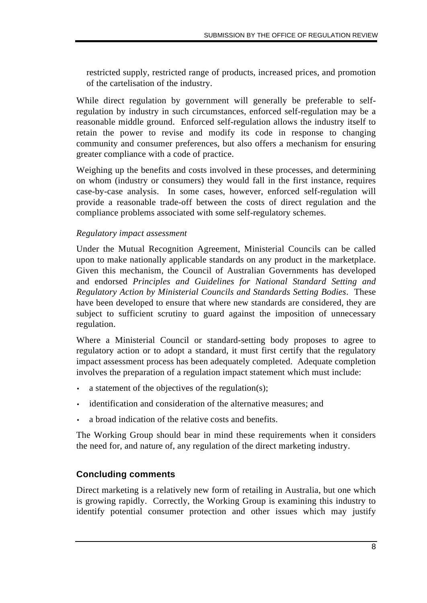restricted supply, restricted range of products, increased prices, and promotion of the cartelisation of the industry.

While direct regulation by government will generally be preferable to selfregulation by industry in such circumstances, enforced self-regulation may be a reasonable middle ground. Enforced self-regulation allows the industry itself to retain the power to revise and modify its code in response to changing community and consumer preferences, but also offers a mechanism for ensuring greater compliance with a code of practice.

Weighing up the benefits and costs involved in these processes, and determining on whom (industry or consumers) they would fall in the first instance, requires case-by-case analysis. In some cases, however, enforced self-regulation will provide a reasonable trade-off between the costs of direct regulation and the compliance problems associated with some self-regulatory schemes.

#### *Regulatory impact assessment*

Under the Mutual Recognition Agreement, Ministerial Councils can be called upon to make nationally applicable standards on any product in the marketplace. Given this mechanism, the Council of Australian Governments has developed and endorsed *Principles and Guidelines for National Standard Setting and Regulatory Action by Ministerial Councils and Standards Setting Bodies*. These have been developed to ensure that where new standards are considered, they are subject to sufficient scrutiny to guard against the imposition of unnecessary regulation.

Where a Ministerial Council or standard-setting body proposes to agree to regulatory action or to adopt a standard, it must first certify that the regulatory impact assessment process has been adequately completed. Adequate completion involves the preparation of a regulation impact statement which must include:

- a statement of the objectives of the regulation(s);
- identification and consideration of the alternative measures; and
- a broad indication of the relative costs and benefits.

The Working Group should bear in mind these requirements when it considers the need for, and nature of, any regulation of the direct marketing industry.

## **Concluding comments**

Direct marketing is a relatively new form of retailing in Australia, but one which is growing rapidly. Correctly, the Working Group is examining this industry to identify potential consumer protection and other issues which may justify